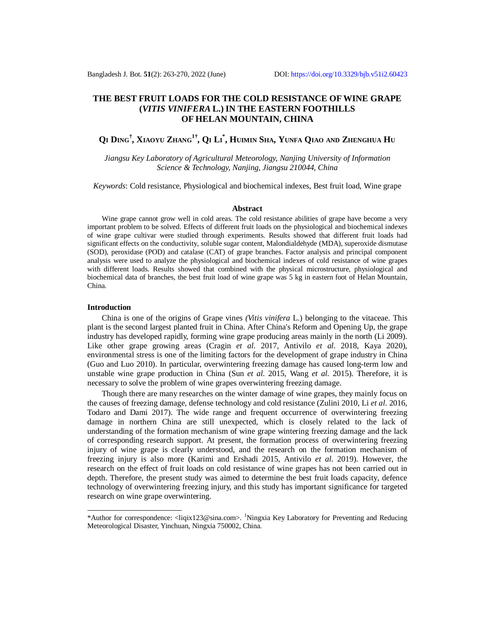## **THE BEST FRUIT LOADS FOR THE COLD RESISTANCE OF WINE GRAPE (***VITIS VINIFERA* **L.) IN THE EASTERN FOOTHILLS OF HELAN MOUNTAIN, CHINA**

# Qi Ding<sup>†</sup>, Xiaoyu Zhang<sup>1†</sup>, Qi Li<sup>\*</sup>, Humin Sha, Yunfa Qiao and Zhenghua Hu

*Jiangsu Key Laboratory of Agricultural Meteorology, Nanjing University of Information Science & Technology, Nanjing, Jiangsu 210044, China*

*Keywords*: Cold resistance, Physiological and biochemical indexes, Best fruit load, Wine grape

#### **Abstract**

Wine grape cannot grow well in cold areas. The cold resistance abilities of grape have become a very important problem to be solved. Effects of different fruit loads on the physiological and biochemical indexes of wine grape cultivar were studied through experiments. Results showed that different fruit loads had significant effects on the conductivity, soluble sugar content, Malondialdehyde (MDA), superoxide dismutase (SOD), peroxidase (POD) and catalase (CAT) of grape branches. Factor analysis and principal component analysis were used to analyze the physiological and biochemical indexes of cold resistance of wine grapes with different loads. Results showed that combined with the physical microstructure, physiological and biochemical data of branches, the best fruit load of wine grape was 5 kg in eastern foot of Helan Mountain, China.

#### **Introduction**

China is one of the origins of Grape vines *(Vitis vinifera* L.) belonging to the vitaceae. This plant is the second largest planted fruit in China. After China's Reform and Opening Up, the grape industry has developed rapidly, forming wine grape producing areas mainly in the north (Li 2009). Like other grape growing areas (Cragin *et al*. 2017, Antivilo *et al*. 2018, Kaya 2020), environmental stress is one of the limiting factors for the development of grape industry in China (Guo and Luo 2010). In particular, overwintering freezing damage has caused long-term low and unstable wine grape production in China (Sun *et al*. 2015, Wang *et al*. 2015). Therefore, it is necessary to solve the problem of wine grapes overwintering freezing damage.

Though there are many researches on the winter damage of wine grapes, they mainly focus on the causes of freezing damage, defense technology and cold resistance (Zulini 2010, Li *et al*. 2016, Todaro and Dami 2017). The wide range and frequent occurrence of overwintering freezing damage in northern China are still unexpected, which is closely related to the lack of understanding of the formation mechanism of wine grape wintering freezing damage and the lack of corresponding research support. At present, the formation process of overwintering freezing injury of wine grape is clearly understood, and the research on the formation mechanism of freezing injury is also more (Karimi and Ershadi 2015, Antivilo *et al*. 2019). However, the research on the effect of fruit loads on cold resistance of wine grapes has not been carried out in depth. Therefore, the present study was aimed to determine the best fruit loads capacity, defence technology of overwintering freezing injury, and this study has important significance for targeted research on wine grape overwintering.

<sup>\*</sup>Author for correspondence: [<liqix123@sina.com>](mailto:liqix123@sina.com). <sup>1</sup>Ningxia Key Laboratory for Preventing and Reducing Meteorological Disaster, Yinchuan, Ningxia 750002, China.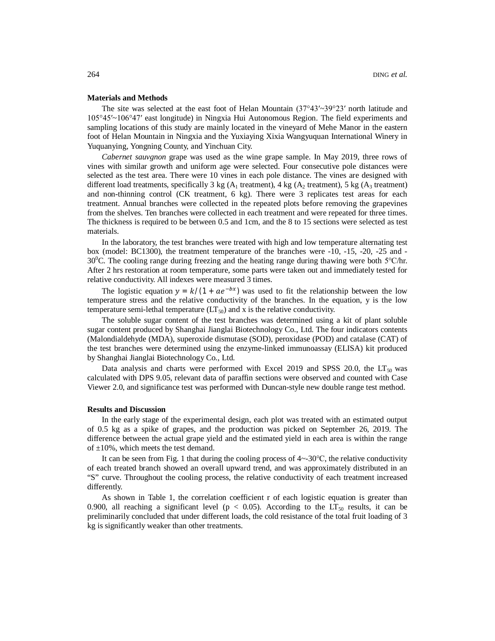#### **Materials and Methods**

The site was selected at the east foot of Helan Mountain  $(37^{\circ}43' \sim 39^{\circ}23'$  north latitude and 105°45′~106°47′ east longitude) in Ningxia Hui Autonomous Region. The field experiments and sampling locations of this study are mainly located in the vineyard of Mehe Manor in the eastern foot of Helan Mountain in Ningxia and the Yuxiaying Xixia Wangyuquan International Winery in Yuquanying, Yongning County, and Yinchuan City.

*Cabernet sauvgnon* grape was used as the wine grape sample. In May 2019, three rows of vines with similar growth and uniform age were selected. Four consecutive pole distances were selected as the test area. There were 10 vines in each pole distance. The vines are designed with different load treatments, specifically 3 kg ( $A_1$  treatment), 4 kg ( $A_2$  treatment), 5 kg ( $A_3$  treatment) and non-thinning control (CK treatment, 6 kg). There were 3 replicates test areas for each treatment. Annual branches were collected in the repeated plots before removing the grapevines from the shelves. Ten branches were collected in each treatment and were repeated for three times. The thickness is required to be between 0.5 and 1cm, and the 8 to 15 sections were selected as test materials.

In the laboratory, the test branches were treated with high and low temperature alternating test box (model: BC1300), the treatment temperature of the branches were -10, -15, -20, -25 and - 30<sup>0</sup>C. The cooling range during freezing and the heating range during thawing were both 5°C/hr. After 2 hrs restoration at room temperature, some parts were taken out and immediately tested for relative conductivity. All indexes were measured 3 times.

The logistic equation  $y = k/(1 + ae^{-bx})$  was used to fit the relationship between the low temperature stress and the relative conductivity of the branches. In the equation, y is the low temperature semi-lethal temperature  $(LT_{50})$  and x is the relative conductivity.

The soluble sugar content of the test branches was determined using a kit of plant soluble sugar content produced by Shanghai Jianglai Biotechnology Co., Ltd. The four indicators contents (Malondialdehyde (MDA), superoxide dismutase (SOD), peroxidase (POD) and catalase (CAT) of the test branches were determined using the enzyme-linked immunoassay (ELISA) kit produced by Shanghai Jianglai Biotechnology Co., Ltd.

Data analysis and charts were performed with Excel 2019 and SPSS 20.0, the  $LT_{50}$  was calculated with DPS 9.05, relevant data of paraffin sections were observed and counted with Case Viewer 2.0, and significance test was performed with Duncan-style new double range test method.

#### **Results and Discussion**

In the early stage of the experimental design, each plot was treated with an estimated output of 0.5 kg as a spike of grapes, and the production was picked on September 26, 2019. The difference between the actual grape yield and the estimated yield in each area is within the range of  $\pm 10\%$ , which meets the test demand.

It can be seen from Fig. 1 that during the cooling process of 4~-30℃, the relative conductivity of each treated branch showed an overall upward trend, and was approximately distributed in an "S" curve. Throughout the cooling process, the relative conductivity of each treatment increased differently.

As shown in Table 1, the correlation coefficient r of each logistic equation is greater than 0.900, all reaching a significant level ( $p < 0.05$ ). According to the LT<sub>50</sub> results, it can be preliminarily concluded that under different loads, the cold resistance of the total fruit loading of 3 kg is significantly weaker than other treatments.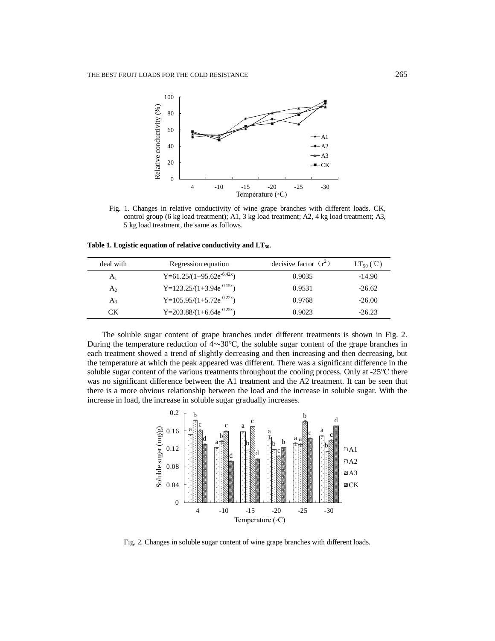

Fig. 1. Changes in relative conductivity of wine grape branches with different loads. CK, control group (6 kg load treatment); A1, 3 kg load treatment; A2, 4 kg load treatment; A3, 5 kg load treatment, the same as follows.

**Table 1. Logistic equation of relative conductivity and LT50**.

| deal with      | Regression equation                   | decisive factor $(r^2)$ | $LT_{50}$ (°C) |
|----------------|---------------------------------------|-------------------------|----------------|
| A <sub>1</sub> | Y=61.25/(1+95.62e <sup>-6.42x</sup> ) | 0.9035                  | $-14.90$       |
| $A_2$          | Y=123.25/(1+3.94 $e^{-0.15x}$ )       | 0.9531                  | $-26.62$       |
| $A_3$          | $Y=105.95/(1+5.72e^{-0.22x})$         | 0.9768                  | $-26.00$       |
| CК             | Y=203.88/ $(1+6.64e^{-0.25x})$        | 0.9023                  | $-26.23$       |

The soluble sugar content of grape branches under different treatments is shown in Fig. 2. During the temperature reduction of  $4 \sim 30^{\circ}$ C, the soluble sugar content of the grape branches in each treatment showed a trend of slightly decreasing and then increasing and then decreasing, but the temperature at which the peak appeared was different. There was a significant difference in the soluble sugar content of the various treatments throughout the cooling process. Only at -25 °C there was no significant difference between the A1 treatment and the A2 treatment. It can be seen that there is a more obvious relationship between the load and the increase in soluble sugar. With the increase in load, the increase in soluble sugar gradually increases.



Fig. 2. Changes in soluble sugar content of wine grape branches with different loads.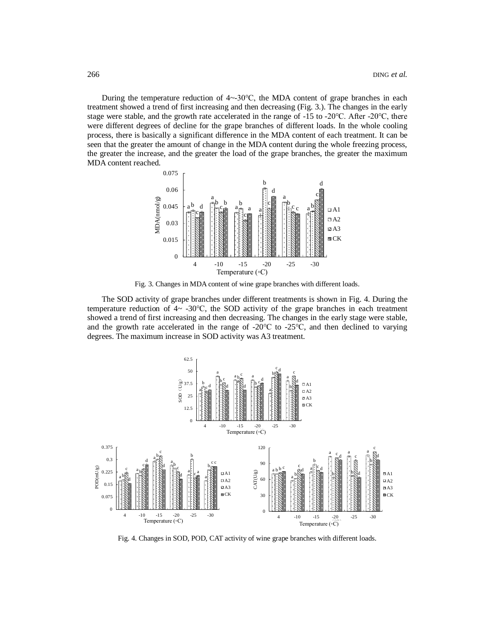During the temperature reduction of  $4 \sim 30\degree C$ , the MDA content of grape branches in each treatment showed a trend of first increasing and then decreasing (Fig. 3.). The changes in the early stage were stable, and the growth rate accelerated in the range of -15 to -20℃. After -20℃, there were different degrees of decline for the grape branches of different loads. In the whole cooling process, there is basically a significant difference in the MDA content of each treatment. It can be seen that the greater the amount of change in the MDA content during the whole freezing process, the greater the increase, and the greater the load of the grape branches, the greater the maximum MDA content reached.



Fig. 3. Changes in MDA content of wine grape branches with different loads.

The SOD activity of grape branches under different treatments is shown in Fig. 4. During the temperature reduction of  $4\sim$  -30°C, the SOD activity of the grape branches in each treatment showed a trend of first increasing and then decreasing. The changes in the early stage were stable, and the growth rate accelerated in the range of  $-20^{\circ}\text{C}$  to  $-25^{\circ}\text{C}$ , and then declined to varying degrees. The maximum increase in SOD activity was A3 treatment.



Fig. 4. Changes in SOD, POD, CAT activity of wine grape branches with different loads.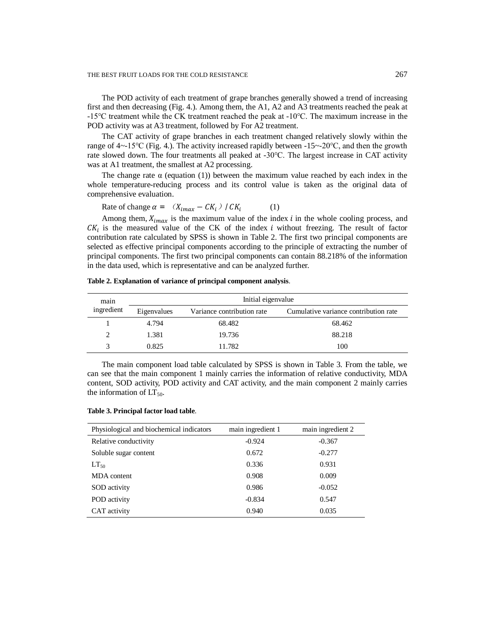THE BEST FRUIT LOADS FOR THE COLD RESISTANCE 267

The POD activity of each treatment of grape branches generally showed a trend of increasing first and then decreasing (Fig. 4.). Among them, the A1, A2 and A3 treatments reached the peak at -15℃ treatment while the CK treatment reached the peak at -10℃. The maximum increase in the POD activity was at A3 treatment, followed by For A2 treatment.

The CAT activity of grape branches in each treatment changed relatively slowly within the range of 4~-15℃ (Fig. 4.). The activity increased rapidly between -15~-20℃, and then the growth rate slowed down. The four treatments all peaked at -30℃. The largest increase in CAT activity was at A1 treatment, the smallest at A2 processing.

The change rate  $\alpha$  (equation (1)) between the maximum value reached by each index in the whole temperature-reducing process and its control value is taken as the original data of comprehensive evaluation.

Rate of change  $\alpha = (X_{imax} - C K_i) / C K_i$ (1)

Among them,  $X_{imax}$  is the maximum value of the index  $i$  in the whole cooling process, and  $CK<sub>i</sub>$  is the measured value of the CK of the index *i* without freezing. The result of factor contribution rate calculated by SPSS is shown in Table 2. The first two principal components are selected as effective principal components according to the principle of extracting the number of principal components. The first two principal components can contain 88.218% of the information in the data used, which is representative and can be analyzed further.

| main<br>ingredient | Initial eigenvalue |                            |                                       |
|--------------------|--------------------|----------------------------|---------------------------------------|
|                    | Eigenvalues        | Variance contribution rate | Cumulative variance contribution rate |
|                    | 4.794              | 68.482                     | 68.462                                |
| $\mathfrak{D}$     | 1.381              | 19.736                     | 88.218                                |
| 3                  | 0.825              | 11.782                     | 100                                   |

**Table 2. Explanation of variance of principal component analysis**.

The main component load table calculated by SPSS is shown in Table 3. From the table, we can see that the main component 1 mainly carries the information of relative conductivity, MDA content, SOD activity, POD activity and CAT activity, and the main component 2 mainly carries the information of  $LT_{50}$ .

|  |  | Table 3. Principal factor load table. |  |  |  |
|--|--|---------------------------------------|--|--|--|
|--|--|---------------------------------------|--|--|--|

| Physiological and biochemical indicators | main ingredient 1 | main ingredient 2 |
|------------------------------------------|-------------------|-------------------|
| Relative conductivity                    | $-0.924$          | $-0.367$          |
| Soluble sugar content                    | 0.672             | $-0.277$          |
| $LT_{50}$                                | 0.336             | 0.931             |
| MDA content                              | 0.908             | 0.009             |
| SOD activity                             | 0.986             | $-0.052$          |
| POD activity                             | $-0.834$          | 0.547             |
| CAT activity                             | 0.940             | 0.035             |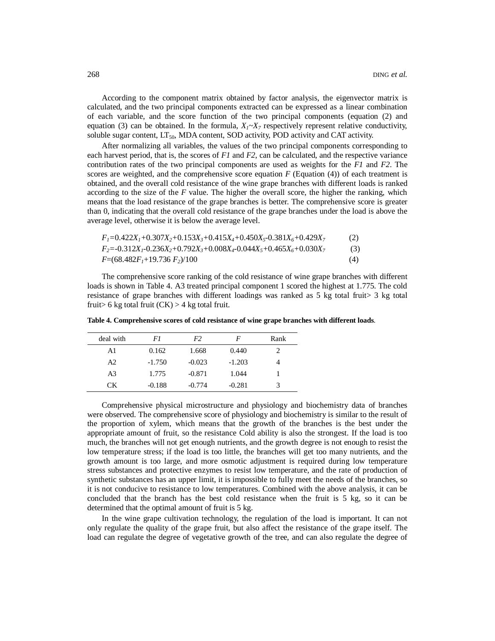According to the component matrix obtained by factor analysis, the eigenvector matrix is calculated, and the two principal components extracted can be expressed as a linear combination of each variable, and the score function of the two principal components (equation (2) and equation (3) can be obtained. In the formula,  $X_1 \sim X_7$  respectively represent relative conductivity, soluble sugar content,  $LT_{50}$ , MDA content, SOD activity, POD activity and CAT activity.

After normalizing all variables, the values of the two principal components corresponding to each harvest period, that is, the scores of *F1* and *F2*, can be calculated, and the respective variance contribution rates of the two principal components are used as weights for the *F1* and *F2*. The scores are weighted, and the comprehensive score equation  $F$  (Equation (4)) of each treatment is obtained, and the overall cold resistance of the wine grape branches with different loads is ranked according to the size of the *F* value. The higher the overall score, the higher the ranking, which means that the load resistance of the grape branches is better. The comprehensive score is greater than 0, indicating that the overall cold resistance of the grape branches under the load is above the average level, otherwise it is below the average level.

$$
F_1=0.422X_1+0.307X_2+0.153X_3+0.415X_4+0.450X_5-0.381X_6+0.429X_7
$$
\n(2)  
\n
$$
F_2=-0.312X_1-0.236X_2+0.792X_3+0.008X_4-0.044X_5+0.465X_6+0.030X_7
$$
\n(3)  
\n
$$
F=(68.482F_1+19.736 F_2)/100
$$
\n(4)

The comprehensive score ranking of the cold resistance of wine grape branches with different loads is shown in Table 4. A3 treated principal component 1 scored the highest at 1.775. The cold resistance of grape branches with different loadings was ranked as 5 kg total fruit> 3 kg total fruit > 6 kg total fruit  $(CK)$  > 4 kg total fruit.

| deal with      | F1       | F2       | F        | Rank |
|----------------|----------|----------|----------|------|
| A1             | 0.162    | 1.668    | 0.440    |      |
| A2             | $-1.750$ | $-0.023$ | $-1.203$ |      |
| A <sub>3</sub> | 1.775    | $-0.871$ | 1.044    |      |
| СK             | $-0.188$ | $-0.774$ | $-0.281$ | 3    |

**Table 4. Comprehensive scores of cold resistance of wine grape branches with different loads**.

Comprehensive physical microstructure and physiology and biochemistry data of branches were observed. The comprehensive score of physiology and biochemistry is similar to the result of the proportion of xylem, which means that the growth of the branches is the best under the appropriate amount of fruit, so the resistance Cold ability is also the strongest. If the load is too much, the branches will not get enough nutrients, and the growth degree is not enough to resist the low temperature stress; if the load is too little, the branches will get too many nutrients, and the growth amount is too large, and more osmotic adjustment is required during low temperature stress substances and protective enzymes to resist low temperature, and the rate of production of synthetic substances has an upper limit, it is impossible to fully meet the needs of the branches, so it is not conducive to resistance to low temperatures. Combined with the above analysis, it can be concluded that the branch has the best cold resistance when the fruit is 5 kg, so it can be determined that the optimal amount of fruit is 5 kg.

In the wine grape cultivation technology, the regulation of the load is important. It can not only regulate the quality of the grape fruit, but also affect the resistance of the grape itself. The load can regulate the degree of vegetative growth of the tree, and can also regulate the degree of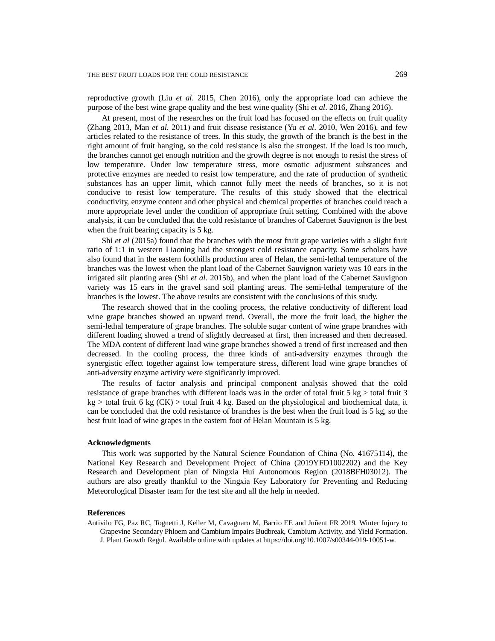reproductive growth (Liu *et al*. 2015, Chen 2016), only the appropriate load can achieve the purpose of the best wine grape quality and the best wine quality (Shi *et al*. 2016, Zhang 2016).

At present, most of the researches on the fruit load has focused on the effects on fruit quality (Zhang 2013, Man *et al*. 2011) and fruit disease resistance (Yu *et al*. 2010, Wen 2016), and few articles related to the resistance of trees. In this study, the growth of the branch is the best in the right amount of fruit hanging, so the cold resistance is also the strongest. If the load is too much, the branches cannot get enough nutrition and the growth degree is not enough to resist the stress of low temperature. Under low temperature stress, more osmotic adjustment substances and protective enzymes are needed to resist low temperature, and the rate of production of synthetic substances has an upper limit, which cannot fully meet the needs of branches, so it is not conducive to resist low temperature. The results of this study showed that the electrical conductivity, enzyme content and other physical and chemical properties of branches could reach a more appropriate level under the condition of appropriate fruit setting. Combined with the above analysis, it can be concluded that the cold resistance of branches of Cabernet Sauvignon is the best when the fruit bearing capacity is 5 kg.

Shi *et al* (2015a) found that the branches with the most fruit grape varieties with a slight fruit ratio of 1:1 in western Liaoning had the strongest cold resistance capacity. Some scholars have also found that in the eastern foothills production area of Helan, the semi-lethal temperature of the branches was the lowest when the plant load of the Cabernet Sauvignon variety was 10 ears in the irrigated silt planting area (Shi *et al*. 2015b), and when the plant load of the Cabernet Sauvignon variety was 15 ears in the gravel sand soil planting areas. The semi-lethal temperature of the branches is the lowest. The above results are consistent with the conclusions of this study.

The research showed that in the cooling process, the relative conductivity of different load wine grape branches showed an upward trend. Overall, the more the fruit load, the higher the semi-lethal temperature of grape branches. The soluble sugar content of wine grape branches with different loading showed a trend of slightly decreased at first, then increased and then decreased. The MDA content of different load wine grape branches showed a trend of first increased and then decreased. In the cooling process, the three kinds of anti-adversity enzymes through the synergistic effect together against low temperature stress, different load wine grape branches of anti-adversity enzyme activity were significantly improved.

The results of factor analysis and principal component analysis showed that the cold resistance of grape branches with different loads was in the order of total fruit 5 kg > total fruit 3  $kg >$  total fruit 6 kg (CK) > total fruit 4 kg. Based on the physiological and biochemical data, it can be concluded that the cold resistance of branches is the best when the fruit load is 5 kg, so the best fruit load of wine grapes in the eastern foot of Helan Mountain is 5 kg.

#### **Acknowledgments**

This work was supported by the Natural Science Foundation of China (No. 41675114), the National Key Research and Development Project of China (2019YFD1002202) and the Key Research and Development plan of Ningxia Hui Autonomous Region (2018BFH03012). The authors are also greatly thankful to the Ningxia Key Laboratory for Preventing and Reducing Meteorological Disaster team for the test site and all the help in needed.

### **References**

Antivilo FG, Paz RC, Tognetti J, Keller M, Cavagnaro M, Barrio EE and Juñent FR 2019. Winter Injury to Grapevine Secondary Phloem and Cambium Impairs Budbreak, Cambium Activity, and Yield Formation. J. Plant Growth Regul. Available online with updates at <https://doi.org/10.1007/s00344-019-10051-w.>